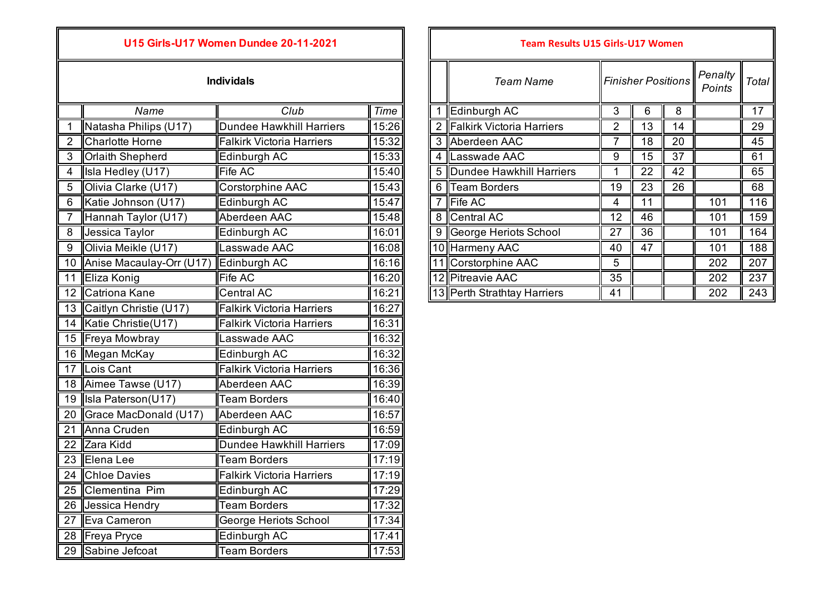## **U15 Girls-U17 Women Dundee 20-11-2021**

|                | Name                     | Club                             | <b>Time</b> |   | 1 Edinburgh AC              | 3               | 6               | 8  |     | 17  |
|----------------|--------------------------|----------------------------------|-------------|---|-----------------------------|-----------------|-----------------|----|-----|-----|
|                | Natasha Philips (U17)    | <b>Dundee Hawkhill Harriers</b>  | 15:26       |   | 2 Falkirk Victoria Harriers | 2               | 13              | 14 |     | 29  |
| $\overline{2}$ | Charlotte Horne          | <b>Falkirk Victoria Harriers</b> | 15:32       |   | 3 Aberdeen AAC              | 7               | 18              | 20 |     | 45  |
| 3              | <b>Orlaith Shepherd</b>  | Edinburgh AC                     | 15:33       |   | 4 Lasswade AAC              | 9               | 15              | 37 |     | 61  |
| 4              | Isla Hedley (U17)        | Fife AC                          | 15:40       | 5 | Dundee Hawkhill Harriers    | 1               | 22              | 42 |     | 65  |
| 5              | Olivia Clarke (U17)      | Corstorphine AAC                 | 15:43       | 6 | Team Borders                | 19              | $\overline{23}$ | 26 |     | 68  |
| 6              | Katie Johnson (U17)      | Edinburgh AC                     | 15:47       |   | Fife AC                     | 4               | 11              |    | 101 | 116 |
| 7              | Hannah Taylor (U17)      | Aberdeen AAC                     | 15:48       |   | 8 Central AC                | $\overline{12}$ | 46              |    | 101 | 159 |
| 8              | Jessica Taylor           | Edinburgh AC                     | 16:01       | 9 | George Heriots School       | $\overline{27}$ | 36              |    | 101 | 164 |
| 9              | Olivia Meikle (U17)      | Lasswade AAC                     | 16:08       |   | 10 Harmeny AAC              | 40              | $\overline{47}$ |    | 101 | 188 |
| 10             | Anise Macaulay-Orr (U17) | Edinburgh AC                     | 16:16       |   | 11 Corstorphine AAC         | 5               |                 |    | 202 | 207 |
| 11             | Eliza Konig              | Fife AC                          | 16:20       |   | 12 Pitreavie AAC            | 35              |                 |    | 202 | 237 |
| 12             | Catriona Kane            | Central AC                       | 16:21       |   | 13 Perth Strathtay Harriers | 41              |                 |    | 202 | 243 |
| 13             | Caitlyn Christie (U17)   | <b>Falkirk Victoria Harriers</b> | 16:27       |   |                             |                 |                 |    |     |     |
| 14             | Katie Christie(U17)      | <b>Falkirk Victoria Harriers</b> | 16:31       |   |                             |                 |                 |    |     |     |
| 15             | Freya Mowbray            | Lasswade AAC                     | 16:32       |   |                             |                 |                 |    |     |     |
| 16             | Megan McKay              | Edinburgh AC                     | 16:32       |   |                             |                 |                 |    |     |     |
| 17             | Lois Cant                | <b>Falkirk Victoria Harriers</b> | 16:36       |   |                             |                 |                 |    |     |     |
| 18             | Aimee Tawse (U17)        | Aberdeen AAC                     | 16:39       |   |                             |                 |                 |    |     |     |
| 19             | Isla Paterson(U17)       | <b>Team Borders</b>              | 16:40       |   |                             |                 |                 |    |     |     |
| 20             | Grace MacDonald (U17)    | Aberdeen AAC                     | 16:57       |   |                             |                 |                 |    |     |     |
| 21             | Anna Cruden              | Edinburgh AC                     | 16:59       |   |                             |                 |                 |    |     |     |
| 22             | Zara Kidd                | <b>Dundee Hawkhill Harriers</b>  | 17:09       |   |                             |                 |                 |    |     |     |
| 23             | Elena Lee                | <b>Team Borders</b>              | 17:19       |   |                             |                 |                 |    |     |     |
| 24             | <b>Chloe Davies</b>      | <b>Falkirk Victoria Harriers</b> | 17:19       |   |                             |                 |                 |    |     |     |
| 25             | Clementina Pim           | Edinburgh AC                     | 17:29       |   |                             |                 |                 |    |     |     |
| 26             | Jessica Hendry           | <b>Team Borders</b>              | 17:32       |   |                             |                 |                 |    |     |     |
| 27             | Eva Cameron              | George Heriots School            | 17:34       |   |                             |                 |                 |    |     |     |
| 28             | Freya Pryce              | Edinburgh AC                     | 17:41       |   |                             |                 |                 |    |     |     |
|                | 29 Sabine Jefcoat        | <b>Team Borders</b>              | 17:53       |   |                             |                 |                 |    |     |     |

| <b>15 Girls-U17 Women Dundee 20-11-2021</b> |                                  |       |  | <b>Team Results U15 Girls-U17 Women</b> |                             |                           |    |                   |       |     |  |  |  |
|---------------------------------------------|----------------------------------|-------|--|-----------------------------------------|-----------------------------|---------------------------|----|-------------------|-------|-----|--|--|--|
| <b>Individals</b>                           |                                  |       |  |                                         | <b>Team Name</b>            | <b>Finisher Positions</b> |    | Penalty<br>Points | Total |     |  |  |  |
| Name                                        | Club                             | Time  |  |                                         | Edinburgh AC                | 3                         | 6. | 8                 |       | 17  |  |  |  |
| hilips (U17)                                | <b>Dundee Hawkhill Harriers</b>  | 15:26 |  |                                         | Falkirk Victoria Harriers   | $\overline{2}$            | 13 | 14                |       | 29  |  |  |  |
| Horne                                       | <b>Falkirk Victoria Harriers</b> | 15:32 |  | 3                                       | Aberdeen AAC                |                           | 18 | 20                |       | 45  |  |  |  |
| epherd                                      | Edinburgh AC                     | 15:33 |  | 4                                       | Lasswade AAC                | 9                         | 15 | 37                |       | 61  |  |  |  |
| y (U17)                                     | Fife AC                          | 15:40 |  |                                         | 5 Dundee Hawkhill Harriers  |                           | 22 | 42                |       | 65  |  |  |  |
| ke (U17)                                    | Corstorphine AAC                 | 15:43 |  | 6                                       | Team Borders                | 19                        | 23 | 26                |       | 68  |  |  |  |
| son (U17)                                   | Edinburgh AC                     | 15:47 |  |                                         | Fife AC                     | 4                         | 11 |                   | 101   | 116 |  |  |  |
| aylor (U17)                                 | Aberdeen AAC                     | 15:48 |  | 8                                       | Central AC                  | 12                        | 46 |                   | 101   | 159 |  |  |  |
| ıylor                                       | Edinburgh AC                     | 16:01 |  | 9                                       | George Heriots School       | 27                        | 36 |                   | 101   | 164 |  |  |  |
| de (U17)                                    | Lasswade AAC                     | 16:08 |  |                                         | 10 Harmeny AAC              | 40                        | 47 |                   | 101   | 188 |  |  |  |
| aulay-Orr (U17)                             | Edinburgh AC                     | 16:16 |  |                                         | 11 Corstorphine AAC         | 5                         |    |                   | 202   | 207 |  |  |  |
|                                             | Fife AC                          | 16:20 |  |                                         | 12 Pitreavie AAC            | 35                        |    |                   | 202   | 237 |  |  |  |
| ane.                                        | <b>Central AC</b>                | 16:21 |  |                                         | 13 Perth Strathtay Harriers | 41                        |    |                   | 202   | 243 |  |  |  |